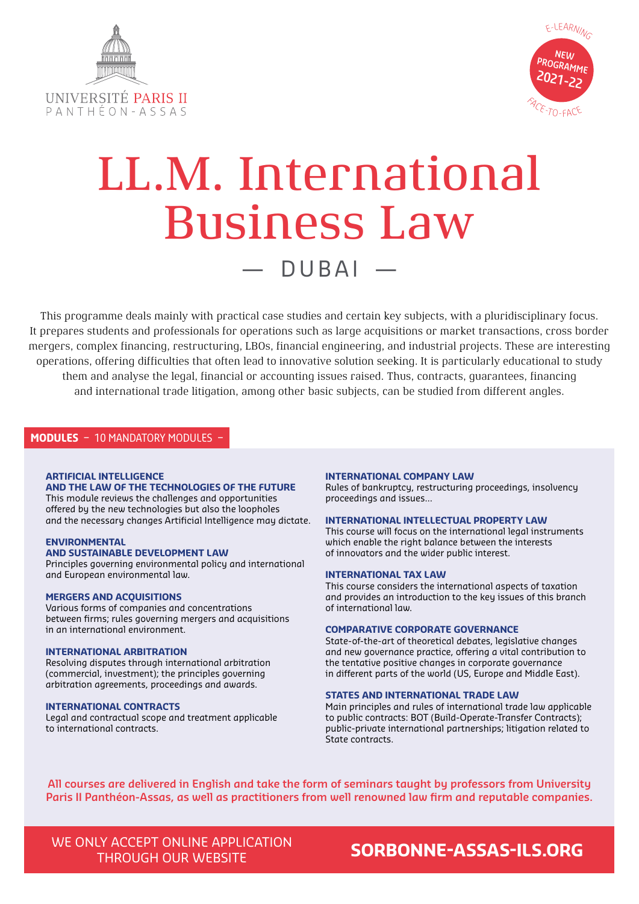



# LL.M. International Business Law — DUBAI —

This programme deals mainly with practical case studies and certain key subjects, with a pluridisciplinary focus. It prepares students and professionals for operations such as large acquisitions or market transactions, cross border mergers, complex financing, restructuring, LBOs, financial engineering, and industrial projects. These are interesting operations, offering difficulties that often lead to innovative solution seeking. It is particularly educational to study them and analyse the legal, financial or accounting issues raised. Thus, contracts, guarantees, financing and international trade litigation, among other basic subjects, can be studied from different angles.

# **MODULES** – 10 MANDATORY MODULES –

# **ARTIFICIAL INTELLIGENCE**

**AND THE LAW OF THE TECHNOLOGIES OF THE FUTURE**  This module reviews the challenges and opportunities offered by the new technologies but also the loopholes and the necessary changes Artificial Intelligence may dictate.

## **ENVIRONMENTAL**

# **AND SUSTAINABLE DEVELOPMENT LAW**

Principles governing environmental policy and international and European environmental law.

### **MERGERS AND ACQUISITIONS**

Various forms of companies and concentrations between firms; rules governing mergers and acquisitions in an international environment.

# **INTERNATIONAL ARBITRATION**

Resolving disputes through international arbitration (commercial, investment); the principles governing arbitration agreements, proceedings and awards.

### **INTERNATIONAL CONTRACTS**

Legal and contractual scope and treatment applicable to international contracts.

### **INTERNATIONAL COMPANY LAW**

Rules of bankruptcy, restructuring proceedings, insolvency proceedings and issues…

### **INTERNATIONAL INTELLECTUAL PROPERTY LAW**

This course will focus on the international legal instruments which enable the right balance between the interests of innovators and the wider public interest.

### **INTERNATIONAL TAX LAW**

This course considers the international aspects of taxation and provides an introduction to the key issues of this branch of international law.

# **COMPARATIVE CORPORATE GOVERNANCE**

State-of-the-art of theoretical debates, legislative changes and new governance practice, offering a vital contribution to the tentative positive changes in corporate governance in different parts of the world (US, Europe and Middle East).

## **STATES AND INTERNATIONAL TRADE LAW**

Main principles and rules of international trade law applicable to public contracts: BOT (Build-Operate-Transfer Contracts); public-private international partnerships; litigation related to State contracts.

**All courses are delivered in English and take the form of seminars taught by professors from University Paris II Panthéon-Assas, as well as practitioners from well renowned law firm and reputable companies.**

WE ONLY ACCEPT ONLINE APPLICATION

# THROUGH OUR WEBSITE **SORBONNE-ASSAS-ILS.ORG**